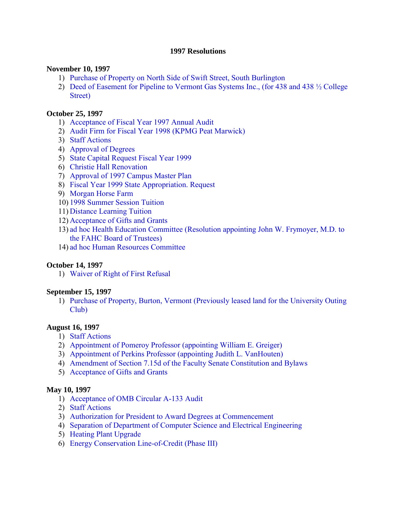#### **1997 Resolutions**

#### **November 10, 1997**

- 1) [Purchase of Property on North Side of Swift Street, South Burlington](#page-2-0)
- 2) [Deed of Easement for Pipeline to Vermont Gas Systems Inc., \(for 438 and 438 ½ College](#page-2-0)  Street)

#### **October 25, 1997**

- 1) [Acceptance of Fiscal Year 1997 Annual Audit](#page-3-0)
- 2) [Audit Firm for Fiscal Year 1998 \(KPMG Peat Marwick\)](#page-3-0)
- 3) [Staff Actions](#page-3-0)
- 4) [Approval of Degrees](#page-3-0)
- 5) [State Capital Request Fiscal Year 1999](#page-4-0)
- 6) [Christie Hall Renovation](#page-4-0)
- 7) [Approval of 1997 Campus Master Plan](#page-4-0)
- 8) [Fiscal Year 1999 State Appropriation. Request](#page-5-0)
- 9) [Morgan Horse Farm](#page-5-0)
- 10) [1998 Summer Session Tuition](#page-5-0)
- 11) [Distance Learning Tuition](#page-5-0)
- 12) [Acceptance of Gifts and Grants](#page-5-0)
- 13) [ad hoc Health Education Committee \(Resolution appointing John W. Frymoyer, M.D. to](#page-6-0)  the FAHC Board of Trustees)
- 14) [ad hoc Human Resources Committee](#page-6-0)

#### **October 14, 1997**

1) [Waiver of Right of First Refusal](#page-8-0) 

#### **September 15, 1997**

1) [Purchase of Property, Burton, Vermont \(Previously leased land for the University Outing](#page-9-0) Club)

## **August 16, 1997**

- 1) [Staff Actions](#page-10-0)
- 2) [Appointment of Pomeroy Professor \(appointing William E. Greiger\)](#page-10-0)
- 3) [Appointment of Perkins Professor \(appointing Judith L. VanHouten\)](#page-10-0)
- 4) [Amendment of Section 7.15d of the Faculty Senate Constitution and Bylaws](#page-10-0)
- 5) [Acceptance of Gifts and Grants](#page-10-0)

#### **May 10, 1997**

- 1) [Acceptance of OMB Circular A-133 Audit](#page-11-0)
- 2) [Staff Actions](#page-11-0)
- 3) [Authorization for President to Award Degrees at Commencement](#page-11-0)
- 4) [Separation of Department of Computer Science and Electrical Engineering](#page-11-0)
- 5) [Heating Plant Upgrade](#page-11-0)
- 6) [Energy Conservation Line-of-Credit \(Phase III\)](#page-12-0)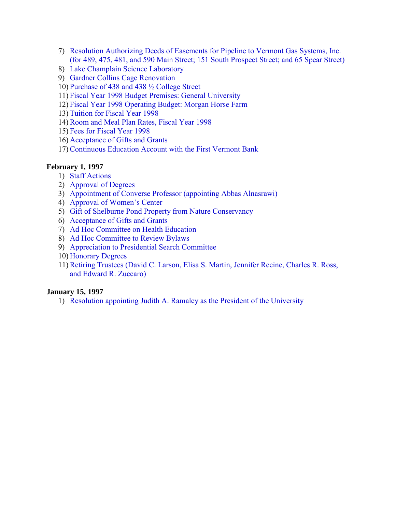- 7) Resolution Authorizing Deeds of Easements for Pipeline to Vermont Gas Systems, Inc. [\(for 489, 475, 481, and 590 Main Street; 151 South Prospect Street; and 65 Spear Street\)](#page-12-0)
- 8) [Lake Champlain Science Laboratory](#page-13-0)
- 9) [Gardner Collins Cage Renovation](#page-14-0)
- 10) [Purchase of 438 and 438 ½ College Street](#page-14-0)
- 11) [Fiscal Year 1998 Budget Premises: General University](#page-15-0)
- 12) [Fiscal Year 1998 Operating Budget: Morgan Horse Farm](#page-15-0)
- 13) [Tuition for Fiscal Year 1998](#page-15-0)
- 14)[Room and Meal Plan Rates, Fiscal Year 1998](#page-15-0)
- 15) [Fees for Fiscal Year 1998](#page-16-0)
- 16) [Acceptance of Gifts and Grants](#page-16-0)
- 17)[Continuous Education Account with the First Vermont Bank](#page-16-0)

### **February 1, 1997**

- 1) [Staff Actions](#page-17-0)
- 2) [Approval of Degrees](#page-18-0)
- 3) [Appointment of Converse Professor \(appointing Abbas Alnasrawi\)](#page-18-0)
- 4) [Approval of Women's Center](#page-18-0)
- 5) [Gift of Shelburne Pond Property from Nature Conservancy](#page-18-0)
- 6) [Acceptance of Gifts and Grants](#page-19-0)
- 7) [Ad Hoc Committee on Health Education](#page-19-0)
- 8) [Ad Hoc Committee to Review Bylaws](#page-20-0)
- 9) [Appreciation to Presidential Search Committee](#page-20-0)
- 10) [Honorary Degrees](#page-20-0)
- 11)[Retiring Trustees \(David C. Larson, Elisa S. Martin, Jennifer Recine, Charles R. Ross,](#page-21-0)  and Edward R. Zuccaro)

### **January 15, 1997**

1) [Resolution appointing Judith A. Ramaley as the President of the University](#page-22-0)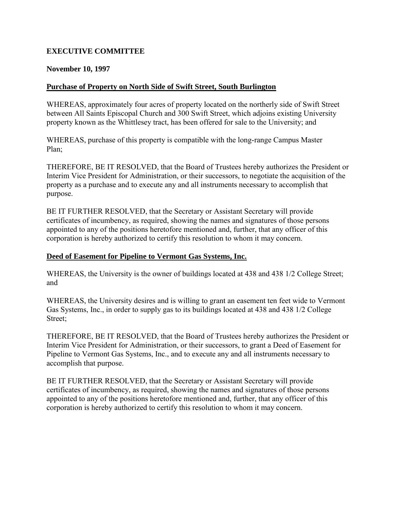# <span id="page-2-0"></span>**EXECUTIVE COMMITTEE**

#### **November 10, 1997**

### **Purchase of Property on North Side of Swift Street, South Burlington**

WHEREAS, approximately four acres of property located on the northerly side of Swift Street between All Saints Episcopal Church and 300 Swift Street, which adjoins existing University property known as the Whittlesey tract, has been offered for sale to the University; and

WHEREAS, purchase of this property is compatible with the long-range Campus Master Plan;

THEREFORE, BE IT RESOLVED, that the Board of Trustees hereby authorizes the President or Interim Vice President for Administration, or their successors, to negotiate the acquisition of the property as a purchase and to execute any and all instruments necessary to accomplish that purpose.

BE IT FURTHER RESOLVED, that the Secretary or Assistant Secretary will provide certificates of incumbency, as required, showing the names and signatures of those persons appointed to any of the positions heretofore mentioned and, further, that any officer of this corporation is hereby authorized to certify this resolution to whom it may concern.

#### **Deed of Easement for Pipeline to Vermont Gas Systems, Inc.**

WHEREAS, the University is the owner of buildings located at 438 and 438 1/2 College Street; and

WHEREAS, the University desires and is willing to grant an easement ten feet wide to Vermont Gas Systems, Inc., in order to supply gas to its buildings located at 438 and 438 1/2 College Street;

THEREFORE, BE IT RESOLVED, that the Board of Trustees hereby authorizes the President or Interim Vice President for Administration, or their successors, to grant a Deed of Easement for Pipeline to Vermont Gas Systems, Inc., and to execute any and all instruments necessary to accomplish that purpose.

BE IT FURTHER RESOLVED, that the Secretary or Assistant Secretary will provide certificates of incumbency, as required, showing the names and signatures of those persons appointed to any of the positions heretofore mentioned and, further, that any officer of this corporation is hereby authorized to certify this resolution to whom it may concern.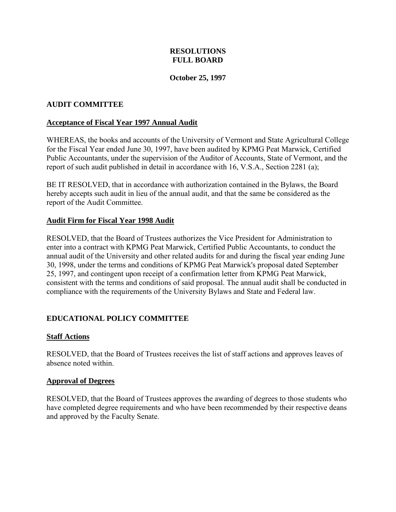# **RESOLUTIONS FULL BOARD**

## **October 25, 1997**

## <span id="page-3-0"></span>**AUDIT COMMITTEE**

#### **Acceptance of Fiscal Year 1997 Annual Audit**

WHEREAS, the books and accounts of the University of Vermont and State Agricultural College for the Fiscal Year ended June 30, 1997, have been audited by KPMG Peat Marwick, Certified Public Accountants, under the supervision of the Auditor of Accounts, State of Vermont, and the report of such audit published in detail in accordance with 16, V.S.A., Section 2281 (a);

BE IT RESOLVED, that in accordance with authorization contained in the Bylaws, the Board hereby accepts such audit in lieu of the annual audit, and that the same be considered as the report of the Audit Committee.

### **Audit Firm for Fiscal Year 1998 Audit**

RESOLVED, that the Board of Trustees authorizes the Vice President for Administration to enter into a contract with KPMG Peat Marwick, Certified Public Accountants, to conduct the annual audit of the University and other related audits for and during the fiscal year ending June 30, 1998, under the terms and conditions of KPMG Peat Marwick's proposal dated September 25, 1997, and contingent upon receipt of a confirmation letter from KPMG Peat Marwick, consistent with the terms and conditions of said proposal. The annual audit shall be conducted in compliance with the requirements of the University Bylaws and State and Federal law.

# **EDUCATIONAL POLICY COMMITTEE**

#### **Staff Actions**

RESOLVED, that the Board of Trustees receives the list of staff actions and approves leaves of absence noted within.

#### **Approval of Degrees**

RESOLVED, that the Board of Trustees approves the awarding of degrees to those students who have completed degree requirements and who have been recommended by their respective deans and approved by the Faculty Senate.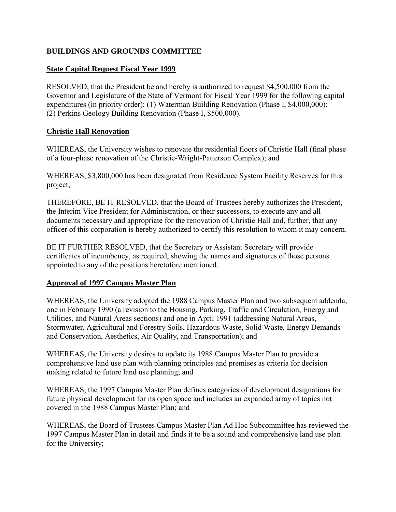# <span id="page-4-0"></span>**BUILDINGS AND GROUNDS COMMITTEE**

## **State Capital Request Fiscal Year 1999**

RESOLVED, that the President be and hereby is authorized to request \$4,500,000 from the Governor and Legislature of the State of Vermont for Fiscal Year 1999 for the following capital expenditures (in priority order): (1) Waterman Building Renovation (Phase I, \$4,000,000); (2) Perkins Geology Building Renovation (Phase I, \$500,000).

## **Christie Hall Renovation**

WHEREAS, the University wishes to renovate the residential floors of Christie Hall (final phase of a four-phase renovation of the Christie-Wright-Patterson Complex); and

WHEREAS, \$3,800,000 has been designated from Residence System Facility Reserves for this project;

THEREFORE, BE IT RESOLVED, that the Board of Trustees hereby authorizes the President, the Interim Vice President for Administration, or their successors, to execute any and all documents necessary and appropriate for the renovation of Christie Hall and, further, that any officer of this corporation is hereby authorized to certify this resolution to whom it may concern.

BE IT FURTHER RESOLVED, that the Secretary or Assistant Secretary will provide certificates of incumbency, as required, showing the names and signatures of those persons appointed to any of the positions heretofore mentioned.

#### **Approval of 1997 Campus Master Plan**

WHEREAS, the University adopted the 1988 Campus Master Plan and two subsequent addenda, one in February 1990 (a revision to the Housing, Parking, Traffic and Circulation, Energy and Utilities, and Natural Areas sections) and one in April 1991 (addressing Natural Areas, Stormwater, Agricultural and Forestry Soils, Hazardous Waste, Solid Waste, Energy Demands and Conservation, Aesthetics, Air Quality, and Transportation); and

WHEREAS, the University desires to update its 1988 Campus Master Plan to provide a comprehensive land use plan with planning principles and premises as criteria for decision making related to future land use planning; and

WHEREAS, the 1997 Campus Master Plan defines categories of development designations for future physical development for its open space and includes an expanded array of topics not covered in the 1988 Campus Master Plan; and

WHEREAS, the Board of Trustees Campus Master Plan Ad Hoc Subcommittee has reviewed the 1997 Campus Master Plan in detail and finds it to be a sound and comprehensive land use plan for the University;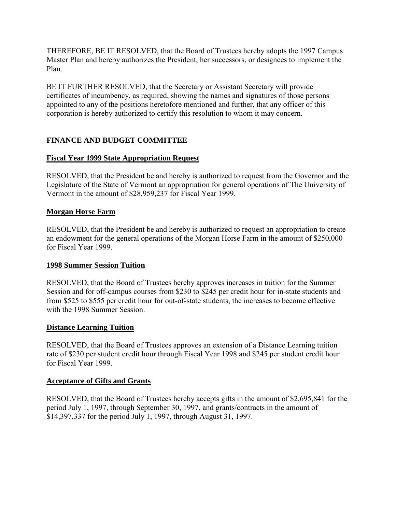<span id="page-5-0"></span>THEREFORE, BE IT RESOLVED, that the Board of Trustees hereby adopts the 1997 Campus Master Plan and hereby authorizes the President, her successors, or designees to implement the Plan.

BE IT FURTHER RESOLVED, that the Secretary or Assistant Secretary will provide certificates of incumbency, as required, showing the names and signatures of those persons appointed to any of the positions heretofore mentioned and further, that any officer of this corporation is hereby authorized to certify this resolution to whom it may concern.

# **FINANCE AND BUDGET COMMITTEE**

# **Fiscal Year 1999 State Appropriation Request**

RESOLVED, that the President be and hereby is authorized to request from the Governor and the Legislature of the State of Vermont an appropriation for general operations of The University of Vermont in the amount of \$28,959,237 for Fiscal Year 1999.

# **Morgan Horse Farm**

RESOLVED, that the President be and hereby is authorized to request an appropriation to create an endowment for the general operations of the Morgan Horse Farm in the amount of \$250,000 for Fiscal Year 1999.

# **1998 Summer Session Tuition**

RESOLVED, that the Board of Trustees hereby approves increases in tuition for the Summer Session and for off-campus courses from \$230 to \$245 per credit hour for in-state students and from \$525 to \$555 per credit hour for out-of-state students, the increases to become effective with the 1998 Summer Session.

# **Distance Learning Tuition**

RESOLVED, that the Board of Trustees approves an extension of a Distance Learning tuition rate of \$230 per student credit hour through Fiscal Year 1998 and \$245 per student credit hour for Fiscal Year 1999.

# **Acceptance of Gifts and Grants**

RESOLVED, that the Board of Trustees hereby accepts gifts in the amount of \$2,695,841 for the period July 1, 1997, through September 30, 1997, and grants/contracts in the amount of \$14,397,337 for the period July 1, 1997, through August 31, 1997.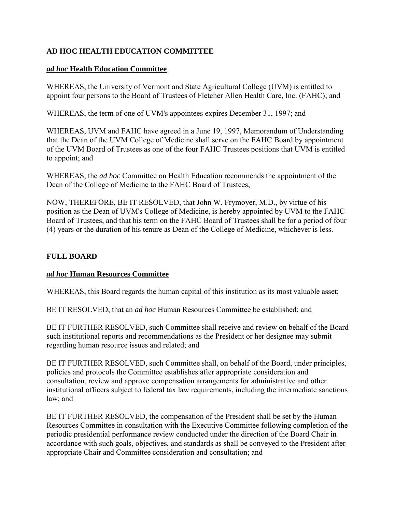# <span id="page-6-0"></span>**AD HOC HEALTH EDUCATION COMMITTEE**

### *ad hoc* **Health Education Committee**

WHEREAS, the University of Vermont and State Agricultural College (UVM) is entitled to appoint four persons to the Board of Trustees of Fletcher Allen Health Care, Inc. (FAHC); and

WHEREAS, the term of one of UVM's appointees expires December 31, 1997; and

WHEREAS, UVM and FAHC have agreed in a June 19, 1997, Memorandum of Understanding that the Dean of the UVM College of Medicine shall serve on the FAHC Board by appointment of the UVM Board of Trustees as one of the four FAHC Trustees positions that UVM is entitled to appoint; and

WHEREAS, the *ad hoc* Committee on Health Education recommends the appointment of the Dean of the College of Medicine to the FAHC Board of Trustees;

NOW, THEREFORE, BE IT RESOLVED, that John W. Frymoyer, M.D., by virtue of his position as the Dean of UVM's College of Medicine, is hereby appointed by UVM to the FAHC Board of Trustees, and that his term on the FAHC Board of Trustees shall be for a period of four (4) years or the duration of his tenure as Dean of the College of Medicine, whichever is less.

# **FULL BOARD**

#### *ad hoc* **Human Resources Committee**

WHEREAS, this Board regards the human capital of this institution as its most valuable asset;

BE IT RESOLVED, that an *ad hoc* Human Resources Committee be established; and

BE IT FURTHER RESOLVED, such Committee shall receive and review on behalf of the Board such institutional reports and recommendations as the President or her designee may submit regarding human resource issues and related; and

BE IT FURTHER RESOLVED, such Committee shall, on behalf of the Board, under principles, policies and protocols the Committee establishes after appropriate consideration and consultation, review and approve compensation arrangements for administrative and other institutional officers subject to federal tax law requirements, including the intermediate sanctions law; and

BE IT FURTHER RESOLVED, the compensation of the President shall be set by the Human Resources Committee in consultation with the Executive Committee following completion of the periodic presidential performance review conducted under the direction of the Board Chair in accordance with such goals, objectives, and standards as shall be conveyed to the President after appropriate Chair and Committee consideration and consultation; and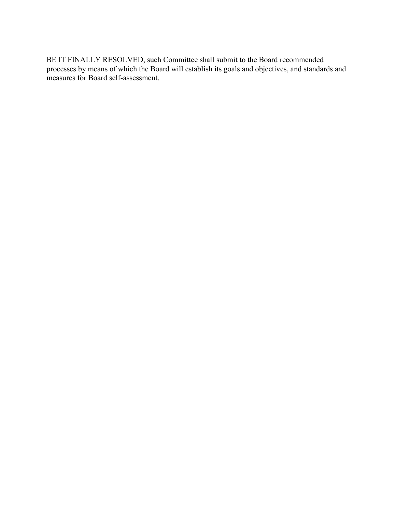BE IT FINALLY RESOLVED, such Committee shall submit to the Board recommended processes by means of which the Board will establish its goals and objectives, and standards and measures for Board self-assessment.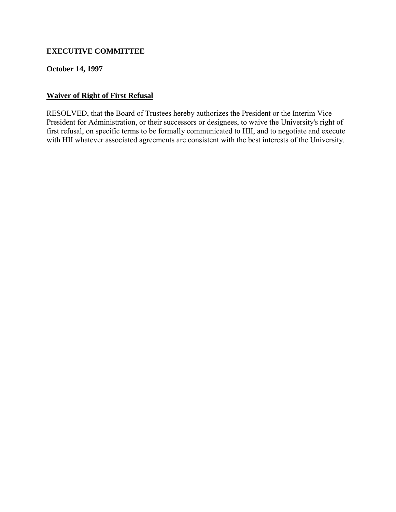# <span id="page-8-0"></span>**EXECUTIVE COMMITTEE**

## **October 14, 1997**

## **Waiver of Right of First Refusal**

RESOLVED, that the Board of Trustees hereby authorizes the President or the Interim Vice President for Administration, or their successors or designees, to waive the University's right of first refusal, on specific terms to be formally communicated to HII, and to negotiate and execute with HII whatever associated agreements are consistent with the best interests of the University.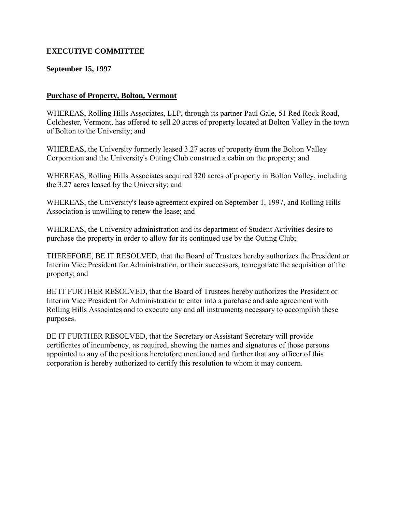# <span id="page-9-0"></span>**EXECUTIVE COMMITTEE**

## **September 15, 1997**

### **Purchase of Property, Bolton, Vermont**

WHEREAS, Rolling Hills Associates, LLP, through its partner Paul Gale, 51 Red Rock Road, Colchester, Vermont, has offered to sell 20 acres of property located at Bolton Valley in the town of Bolton to the University; and

WHEREAS, the University formerly leased 3.27 acres of property from the Bolton Valley Corporation and the University's Outing Club construed a cabin on the property; and

WHEREAS, Rolling Hills Associates acquired 320 acres of property in Bolton Valley, including the 3.27 acres leased by the University; and

WHEREAS, the University's lease agreement expired on September 1, 1997, and Rolling Hills Association is unwilling to renew the lease; and

WHEREAS, the University administration and its department of Student Activities desire to purchase the property in order to allow for its continued use by the Outing Club;

THEREFORE, BE IT RESOLVED, that the Board of Trustees hereby authorizes the President or Interim Vice President for Administration, or their successors, to negotiate the acquisition of the property; and

BE IT FURTHER RESOLVED, that the Board of Trustees hereby authorizes the President or Interim Vice President for Administration to enter into a purchase and sale agreement with Rolling Hills Associates and to execute any and all instruments necessary to accomplish these purposes.

BE IT FURTHER RESOLVED, that the Secretary or Assistant Secretary will provide certificates of incumbency, as required, showing the names and signatures of those persons appointed to any of the positions heretofore mentioned and further that any officer of this corporation is hereby authorized to certify this resolution to whom it may concern.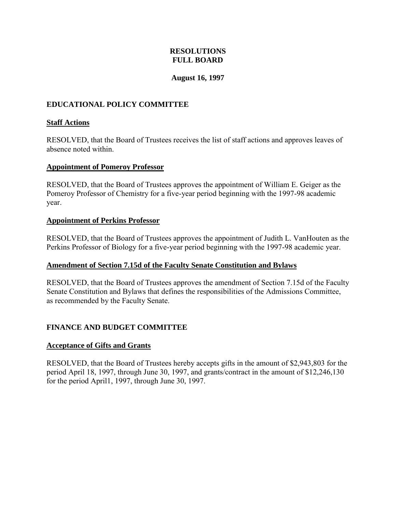# **RESOLUTIONS FULL BOARD**

## **August 16, 1997**

# <span id="page-10-0"></span>**EDUCATIONAL POLICY COMMITTEE**

### **Staff Actions**

RESOLVED, that the Board of Trustees receives the list of staff actions and approves leaves of absence noted within.

### **Appointment of Pomeroy Professor**

RESOLVED, that the Board of Trustees approves the appointment of William E. Geiger as the Pomeroy Professor of Chemistry for a five-year period beginning with the 1997-98 academic year.

### **Appointment of Perkins Professor**

RESOLVED, that the Board of Trustees approves the appointment of Judith L. VanHouten as the Perkins Professor of Biology for a five-year period beginning with the 1997-98 academic year.

#### **Amendment of Section 7.15d of the Faculty Senate Constitution and Bylaws**

RESOLVED, that the Board of Trustees approves the amendment of Section 7.15d of the Faculty Senate Constitution and Bylaws that defines the responsibilities of the Admissions Committee, as recommended by the Faculty Senate.

# **FINANCE AND BUDGET COMMITTEE**

#### **Acceptance of Gifts and Grants**

RESOLVED, that the Board of Trustees hereby accepts gifts in the amount of \$2,943,803 for the period April 18, 1997, through June 30, 1997, and grants/contract in the amount of \$12,246,130 for the period April1, 1997, through June 30, 1997.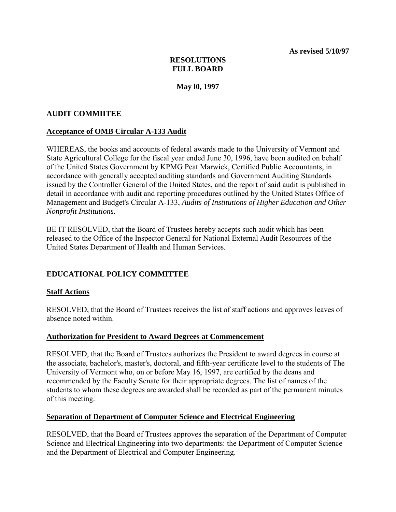**As revised 5/10/97** 

# **RESOLUTIONS FULL BOARD**

**May l0, 1997**

### <span id="page-11-0"></span>**AUDIT COMMIITEE**

### **Acceptance of OMB Circular A-133 Audit**

WHEREAS, the books and accounts of federal awards made to the University of Vermont and State Agricultural College for the fiscal year ended June 30, 1996, have been audited on behalf of the United States Government by KPMG Peat Marwick, Certified Public Accountants, in accordance with generally accepted auditing standards and Government Auditing Standards issued by the Controller General of the United States, and the report of said audit is published in detail in accordance with audit and reporting procedures outlined by the United States Office of Management and Budget's Circular A-133, *Audits of Institutions of Higher Education and Other Nonprofit Institutions.* 

BE IT RESOLVED, that the Board of Trustees hereby accepts such audit which has been released to the Office of the Inspector General for National External Audit Resources of the United States Department of Health and Human Services.

# **EDUCATIONAL POLICY COMMITTEE**

# **Staff Actions**

RESOLVED, that the Board of Trustees receives the list of staff actions and approves leaves of absence noted within.

#### **Authorization for President to Award Degrees at Commencement**

RESOLVED, that the Board of Trustees authorizes the President to award degrees in course at the associate, bachelor's, master's, doctoral, and fifth-year certificate level to the students of The University of Vermont who, on or before May 16, 1997, are certified by the deans and recommended by the Faculty Senate for their appropriate degrees. The list of names of the students to whom these degrees are awarded shall be recorded as part of the permanent minutes of this meeting.

#### **Separation of Department of Computer Science and Electrical Engineering**

RESOLVED, that the Board of Trustees approves the separation of the Department of Computer Science and Electrical Engineering into two departments: the Department of Computer Science and the Department of Electrical and Computer Engineering.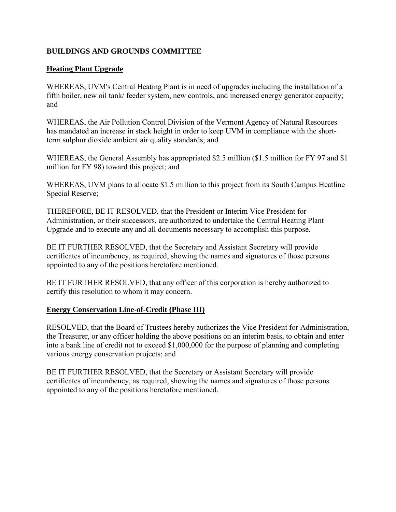# <span id="page-12-0"></span>**BUILDINGS AND GROUNDS COMMITTEE**

## **Heating Plant Upgrade**

WHEREAS, UVM's Central Heating Plant is in need of upgrades including the installation of a fifth boiler, new oil tank/ feeder system, new controls, and increased energy generator capacity; and

WHEREAS, the Air Pollution Control Division of the Vermont Agency of Natural Resources has mandated an increase in stack height in order to keep UVM in compliance with the shortterm sulphur dioxide ambient air quality standards; and

WHEREAS, the General Assembly has appropriated \$2.5 million (\$1.5 million for FY 97 and \$1 million for FY 98) toward this project; and

WHEREAS, UVM plans to allocate \$1.5 million to this project from its South Campus Heatline Special Reserve;

THEREFORE, BE IT RESOLVED, that the President or Interim Vice President for Administration, or their successors, are authorized to undertake the Central Heating Plant Upgrade and to execute any and all documents necessary to accomplish this purpose.

BE IT FURTHER RESOLVED, that the Secretary and Assistant Secretary will provide certificates of incumbency, as required, showing the names and signatures of those persons appointed to any of the positions heretofore mentioned.

BE IT FURTHER RESOLVED, that any officer of this corporation is hereby authorized to certify this resolution to whom it may concern.

#### **Energy Conservation Line-of-Credit (Phase III)**

RESOLVED, that the Board of Trustees hereby authorizes the Vice President for Administration, the Treasurer, or any officer holding the above positions on an interim basis, to obtain and enter into a bank line of credit not to exceed \$1,000,000 for the purpose of planning and completing various energy conservation projects; and

BE IT FURTHER RESOLVED, that the Secretary or Assistant Secretary will provide certificates of incumbency, as required, showing the names and signatures of those persons appointed to any of the positions heretofore mentioned.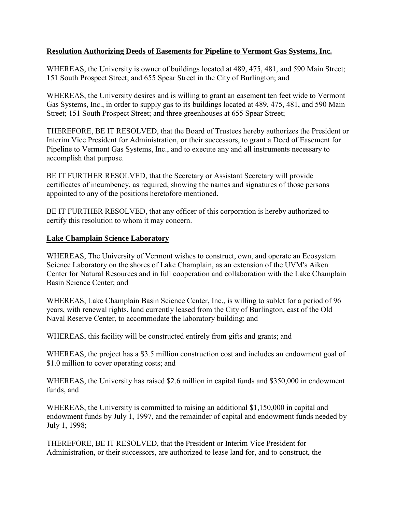## <span id="page-13-0"></span>**Resolution Authorizing Deeds of Easements for Pipeline to Vermont Gas Systems, Inc.**

WHEREAS, the University is owner of buildings located at 489, 475, 481, and 590 Main Street; 151 South Prospect Street; and 655 Spear Street in the City of Burlington; and

WHEREAS, the University desires and is willing to grant an easement ten feet wide to Vermont Gas Systems, Inc., in order to supply gas to its buildings located at 489, 475, 481, and 590 Main Street; 151 South Prospect Street; and three greenhouses at 655 Spear Street;

THEREFORE, BE IT RESOLVED, that the Board of Trustees hereby authorizes the President or Interim Vice President for Administration, or their successors, to grant a Deed of Easement for Pipeline to Vermont Gas Systems, Inc., and to execute any and all instruments necessary to accomplish that purpose.

BE IT FURTHER RESOLVED, that the Secretary or Assistant Secretary will provide certificates of incumbency, as required, showing the names and signatures of those persons appointed to any of the positions heretofore mentioned.

BE IT FURTHER RESOLVED, that any officer of this corporation is hereby authorized to certify this resolution to whom it may concern.

#### **Lake Champlain Science Laboratory**

WHEREAS, The University of Vermont wishes to construct, own, and operate an Ecosystem Science Laboratory on the shores of Lake Champlain, as an extension of the UVM's Aiken Center for Natural Resources and in full cooperation and collaboration with the Lake Champlain Basin Science Center; and

WHEREAS, Lake Champlain Basin Science Center, Inc., is willing to sublet for a period of 96 years, with renewal rights, land currently leased from the City of Burlington, east of the Old Naval Reserve Center, to accommodate the laboratory building; and

WHEREAS, this facility will be constructed entirely from gifts and grants; and

WHEREAS, the project has a \$3.5 million construction cost and includes an endowment goal of \$1.0 million to cover operating costs; and

WHEREAS, the University has raised \$2.6 million in capital funds and \$350,000 in endowment funds, and

WHEREAS, the University is committed to raising an additional \$1,150,000 in capital and endowment funds by July 1, 1997, and the remainder of capital and endowment funds needed by July 1, 1998;

THEREFORE, BE IT RESOLVED, that the President or Interim Vice President for Administration, or their successors, are authorized to lease land for, and to construct, the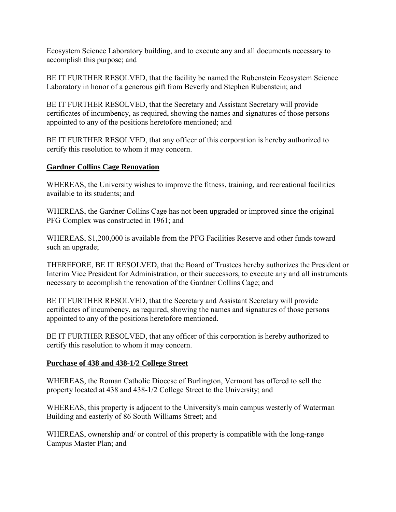<span id="page-14-0"></span>Ecosystem Science Laboratory building, and to execute any and all documents necessary to accomplish this purpose; and

BE IT FURTHER RESOLVED, that the facility be named the Rubenstein Ecosystem Science Laboratory in honor of a generous gift from Beverly and Stephen Rubenstein; and

BE IT FURTHER RESOLVED, that the Secretary and Assistant Secretary will provide certificates of incumbency, as required, showing the names and signatures of those persons appointed to any of the positions heretofore mentioned; and

BE IT FURTHER RESOLVED, that any officer of this corporation is hereby authorized to certify this resolution to whom it may concern.

# **Gardner Collins Cage Renovation**

WHEREAS, the University wishes to improve the fitness, training, and recreational facilities available to its students; and

WHEREAS, the Gardner Collins Cage has not been upgraded or improved since the original PFG Complex was constructed in 1961; and

WHEREAS, \$1,200,000 is available from the PFG Facilities Reserve and other funds toward such an upgrade;

THEREFORE, BE IT RESOLVED, that the Board of Trustees hereby authorizes the President or Interim Vice President for Administration, or their successors, to execute any and all instruments necessary to accomplish the renovation of the Gardner Collins Cage; and

BE IT FURTHER RESOLVED, that the Secretary and Assistant Secretary will provide certificates of incumbency, as required, showing the names and signatures of those persons appointed to any of the positions heretofore mentioned.

BE IT FURTHER RESOLVED, that any officer of this corporation is hereby authorized to certify this resolution to whom it may concern.

# **Purchase of 438 and 438-1/2 College Street**

WHEREAS, the Roman Catholic Diocese of Burlington, Vermont has offered to sell the property located at 438 and 438-1/2 College Street to the University; and

WHEREAS, this property is adjacent to the University's main campus westerly of Waterman Building and easterly of 86 South Williams Street; and

WHEREAS, ownership and/ or control of this property is compatible with the long-range Campus Master Plan; and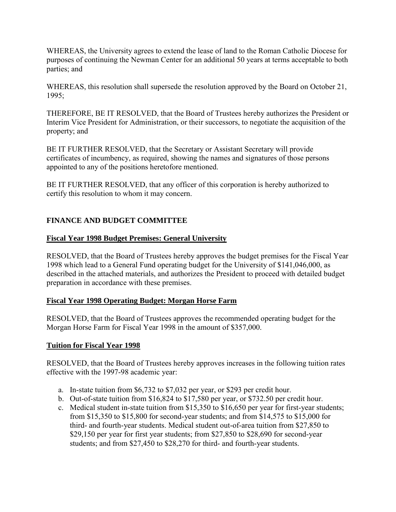<span id="page-15-0"></span>WHEREAS, the University agrees to extend the lease of land to the Roman Catholic Diocese for purposes of continuing the Newman Center for an additional 50 years at terms acceptable to both parties; and

WHEREAS, this resolution shall supersede the resolution approved by the Board on October 21, 1995;

THEREFORE, BE IT RESOLVED, that the Board of Trustees hereby authorizes the President or Interim Vice President for Administration, or their successors, to negotiate the acquisition of the property; and

BE IT FURTHER RESOLVED, that the Secretary or Assistant Secretary will provide certificates of incumbency, as required, showing the names and signatures of those persons appointed to any of the positions heretofore mentioned.

BE IT FURTHER RESOLVED, that any officer of this corporation is hereby authorized to certify this resolution to whom it may concern.

# **FINANCE AND BUDGET COMMITTEE**

# **Fiscal Year 1998 Budget Premises: General University**

RESOLVED, that the Board of Trustees hereby approves the budget premises for the Fiscal Year 1998 which lead to a General Fund operating budget for the University of \$141,046,000, as described in the attached materials, and authorizes the President to proceed with detailed budget preparation in accordance with these premises.

# **Fiscal Year 1998 Operating Budget: Morgan Horse Farm**

RESOLVED, that the Board of Trustees approves the recommended operating budget for the Morgan Horse Farm for Fiscal Year 1998 in the amount of \$357,000.

# **Tuition for Fiscal Year 1998**

RESOLVED, that the Board of Trustees hereby approves increases in the following tuition rates effective with the 1997-98 academic year:

- a. In-state tuition from \$6,732 to \$7,032 per year, or \$293 per credit hour.
- b. Out-of-state tuition from \$16,824 to \$17,580 per year, or \$732.50 per credit hour.
- c. Medical student in-state tuition from \$15,350 to \$16,650 per year for first-year students; from \$15,350 to \$15,800 for second-year students; and from \$14,575 to \$15,000 for third- and fourth-year students. Medical student out-of-area tuition from \$27,850 to \$29,150 per year for first year students; from \$27,850 to \$28,690 for second-year students; and from \$27,450 to \$28,270 for third- and fourth-year students.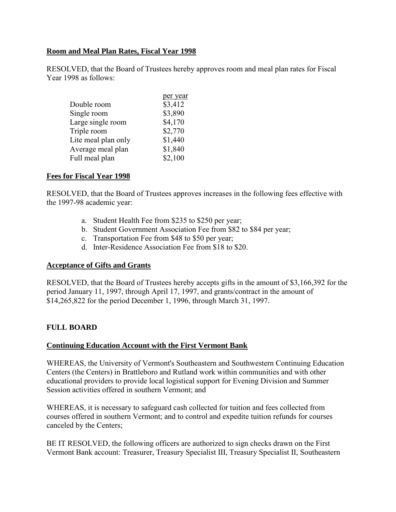## <span id="page-16-0"></span>**Room and Meal Plan Rates, Fiscal Year 1998**

RESOLVED, that the Board of Trustees hereby approves room and meal plan rates for Fiscal Year 1998 as follows:

|                     | per year |
|---------------------|----------|
| Double room         | \$3,412  |
| Single room         | \$3,890  |
| Large single room   | \$4,170  |
| Triple room         | \$2,770  |
| Lite meal plan only | \$1,440  |
| Average meal plan   | \$1,840  |
| Full meal plan      | \$2,100  |
|                     |          |

#### **Fees for Fiscal Year 1998**

RESOLVED, that the Board of Trustees approves increases in the following fees effective with the 1997-98 academic year:

- a. Student Health Fee from \$235 to \$250 per year;
- b. Student Government Association Fee from \$82 to \$84 per year;
- c. Transportation Fee from \$48 to \$50 per year;
- d. Inter-Residence Association Fee from \$18 to \$20.

#### **Acceptance of Gifts and Grants**

RESOLVED, that the Board of Trustees hereby accepts gifts in the amount of \$3,166,392 for the period January 11, 1997, through April 17, 1997, and grants/contract in the amount of \$14,265,822 for the period December 1, 1996, through March 31, 1997.

# **FULL BOARD**

#### **Continuing Education Account with the First Vermont Bank**

WHEREAS, the University of Vermont's Southeastern and Southwestern Continuing Education Centers (the Centers) in Brattleboro and Rutland work within communities and with other educational providers to provide local logistical support for Evening Division and Summer Session activities offered in southern Vermont; and

WHEREAS, it is necessary to safeguard cash collected for tuition and fees collected from courses offered in southern Vermont; and to control and expedite tuition refunds for courses canceled by the Centers;

BE IT RESOLVED, the following officers are authorized to sign checks drawn on the First Vermont Bank account: Treasurer, Treasury Specialist III, Treasury Specialist II, Southeastern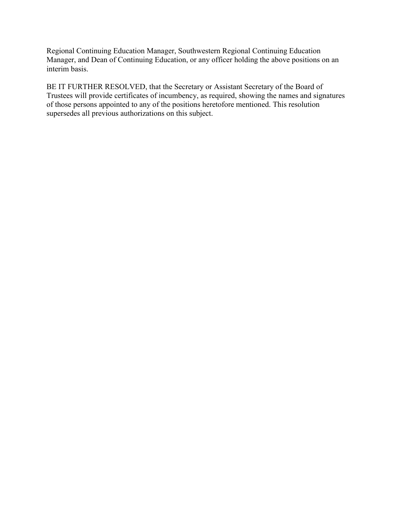<span id="page-17-0"></span>Regional Continuing Education Manager, Southwestern Regional Continuing Education Manager, and Dean of Continuing Education, or any officer holding the above positions on an interim basis.

BE IT FURTHER RESOLVED, that the Secretary or Assistant Secretary of the Board of Trustees will provide certificates of incumbency, as required, showing the names and signatures of those persons appointed to any of the positions heretofore mentioned. This resolution supersedes all previous authorizations on this subject.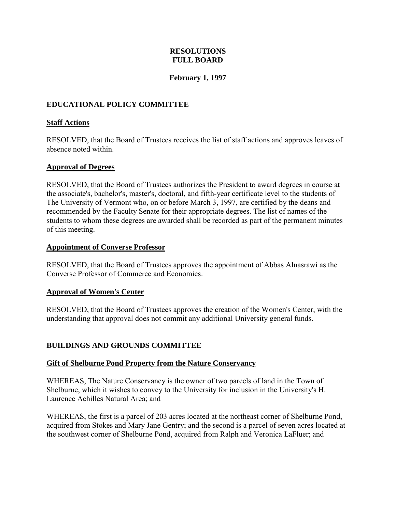# **RESOLUTIONS FULL BOARD**

# **February 1, 1997**

# <span id="page-18-0"></span>**EDUCATIONAL POLICY COMMITTEE**

## **Staff Actions**

RESOLVED, that the Board of Trustees receives the list of staff actions and approves leaves of absence noted within.

### **Approval of Degrees**

RESOLVED, that the Board of Trustees authorizes the President to award degrees in course at the associate's, bachelor's, master's, doctoral, and fifth-year certificate level to the students of The University of Vermont who, on or before March 3, 1997, are certified by the deans and recommended by the Faculty Senate for their appropriate degrees. The list of names of the students to whom these degrees are awarded shall be recorded as part of the permanent minutes of this meeting.

#### **Appointment of Converse Professor**

RESOLVED, that the Board of Trustees approves the appointment of Abbas Alnasrawi as the Converse Professor of Commerce and Economics.

# **Approval of Women's Center**

RESOLVED, that the Board of Trustees approves the creation of the Women's Center, with the understanding that approval does not commit any additional University general funds.

# **BUILDINGS AND GROUNDS COMMITTEE**

#### **Gift of Shelburne Pond Property from the Nature Conservancy**

WHEREAS, The Nature Conservancy is the owner of two parcels of land in the Town of Shelburne, which it wishes to convey to the University for inclusion in the University's H. Laurence Achilles Natural Area; and

WHEREAS, the first is a parcel of 203 acres located at the northeast corner of Shelburne Pond, acquired from Stokes and Mary Jane Gentry; and the second is a parcel of seven acres located at the southwest corner of Shelburne Pond, acquired from Ralph and Veronica LaFluer; and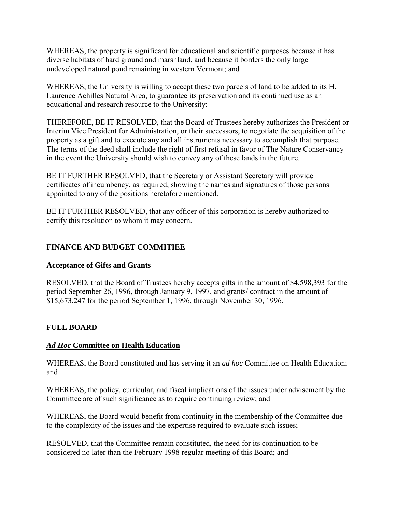<span id="page-19-0"></span>WHEREAS, the property is significant for educational and scientific purposes because it has diverse habitats of hard ground and marshland, and because it borders the only large undeveloped natural pond remaining in western Vermont; and

WHEREAS, the University is willing to accept these two parcels of land to be added to its H. Laurence Achilles Natural Area, to guarantee its preservation and its continued use as an educational and research resource to the University;

THEREFORE, BE IT RESOLVED, that the Board of Trustees hereby authorizes the President or Interim Vice President for Administration, or their successors, to negotiate the acquisition of the property as a gift and to execute any and all instruments necessary to accomplish that purpose. The terms of the deed shall include the right of first refusal in favor of The Nature Conservancy in the event the University should wish to convey any of these lands in the future.

BE IT FURTHER RESOLVED, that the Secretary or Assistant Secretary will provide certificates of incumbency, as required, showing the names and signatures of those persons appointed to any of the positions heretofore mentioned.

BE IT FURTHER RESOLVED, that any officer of this corporation is hereby authorized to certify this resolution to whom it may concern.

# **FINANCE AND BUDGET COMMITIEE**

# **Acceptance of Gifts and Grants**

RESOLVED, that the Board of Trustees hereby accepts gifts in the amount of \$4,598,393 for the period September 26, 1996, through January 9, 1997, and grants/ contract in the amount of \$15,673,247 for the period September 1, 1996, through November 30, 1996.

# **FULL BOARD**

# *Ad Hoc* **Committee on Health Education**

WHEREAS, the Board constituted and has serving it an *ad hoc* Committee on Health Education; and

WHEREAS, the policy, curricular, and fiscal implications of the issues under advisement by the Committee are of such significance as to require continuing review; and

WHEREAS, the Board would benefit from continuity in the membership of the Committee due to the complexity of the issues and the expertise required to evaluate such issues;

RESOLVED, that the Committee remain constituted, the need for its continuation to be considered no later than the February 1998 regular meeting of this Board; and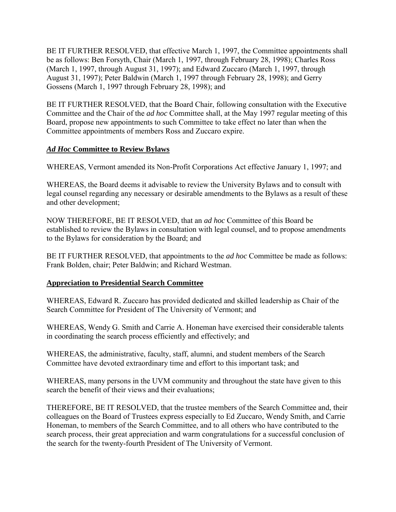<span id="page-20-0"></span>BE IT FURTHER RESOLVED, that effective March 1, 1997, the Committee appointments shall be as follows: Ben Forsyth, Chair (March 1, 1997, through February 28, 1998); Charles Ross (March 1, 1997, through August 31, 1997); and Edward Zuccaro (March 1, 1997, through August 31, 1997); Peter Baldwin (March 1, 1997 through February 28, 1998); and Gerry Gossens (March 1, 1997 through February 28, 1998); and

BE IT FURTHER RESOLVED, that the Board Chair, following consultation with the Executive Committee and the Chair of the *ad hoc* Committee shall, at the May 1997 regular meeting of this Board, propose new appointments to such Committee to take effect no later than when the Committee appointments of members Ross and Zuccaro expire.

# *Ad Hoc* **Committee to Review Bylaws**

WHEREAS, Vermont amended its Non-Profit Corporations Act effective January 1, 1997; and

WHEREAS, the Board deems it advisable to review the University Bylaws and to consult with legal counsel regarding any necessary or desirable amendments to the Bylaws as a result of these and other development;

NOW THEREFORE, BE IT RESOLVED, that an *ad hoc* Committee of this Board be established to review the Bylaws in consultation with legal counsel, and to propose amendments to the Bylaws for consideration by the Board; and

BE IT FURTHER RESOLVED, that appointments to the *ad hoc* Committee be made as follows: Frank Bolden, chair; Peter Baldwin; and Richard Westman.

# **Appreciation to Presidential Search Committee**

WHEREAS, Edward R. Zuccaro has provided dedicated and skilled leadership as Chair of the Search Committee for President of The University of Vermont; and

WHEREAS, Wendy G. Smith and Carrie A. Honeman have exercised their considerable talents in coordinating the search process efficiently and effectively; and

WHEREAS, the administrative, faculty, staff, alumni, and student members of the Search Committee have devoted extraordinary time and effort to this important task; and

WHEREAS, many persons in the UVM community and throughout the state have given to this search the benefit of their views and their evaluations;

THEREFORE, BE IT RESOLVED, that the trustee members of the Search Committee and, their colleagues on the Board of Trustees express especially to Ed Zuccaro, Wendy Smith, and Carrie Honeman, to members of the Search Committee, and to all others who have contributed to the search process, their great appreciation and warm congratulations for a successful conclusion of the search for the twenty-fourth President of The University of Vermont.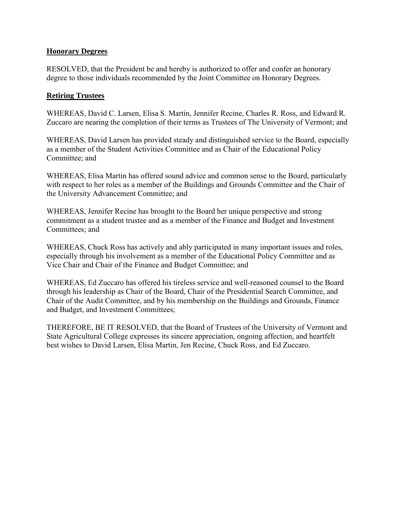# <span id="page-21-0"></span>**Honorary Degrees**

RESOLVED, that the President be and hereby is authorized to offer and confer an honorary degree to those individuals recommended by the Joint Committee on Honorary Degrees.

# **Retiring Trustees**

WHEREAS, David C. Larsen, Elisa S. Martin, Jennifer Recine, Charles R. Ross, and Edward R. Zuccaro are nearing the completion of their terms as Trustees of The University of Vermont; and

WHEREAS, David Larsen has provided steady and distinguished service to the Board, especially as a member of the Student Activities Committee and as Chair of the Educational Policy Committee; and

WHEREAS, Elisa Martin has offered sound advice and common sense to the Board, particularly with respect to her roles as a member of the Buildings and Grounds Committee and the Chair of the University Advancement Committee; and

WHEREAS, Jennifer Recine has brought to the Board her unique perspective and strong commitment as a student trustee and as a member of the Finance and Budget and Investment Committees; and

WHEREAS, Chuck Ross has actively and ably participated in many important issues and roles, especially through his involvement as a member of the Educational Policy Committee and as Vice Chair and Chair of the Finance and Budget Committee; and

WHEREAS, Ed Zuccaro has offered his tireless service and well-reasoned counsel to the Board through his leadership as Chair of the Board, Chair of the Presidential Search Committee, and Chair of the Audit Committee, and by his membership on the Buildings and Grounds, Finance and Budget, and Investment Committees;

THEREFORE, BE IT RESOLVED, that the Board of Trustees of the University of Vermont and State Agricultural College expresses its sincere appreciation, ongoing affection, and heartfelt best wishes to David Larsen, Elisa Martin, Jen Recine, Chuck Ross, and Ed Zuccaro.